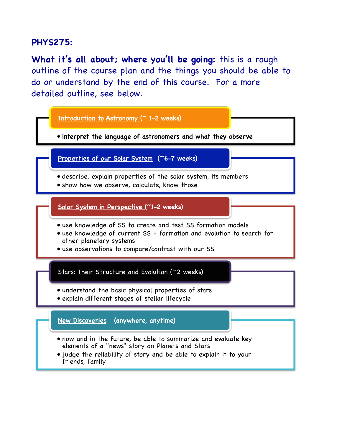# **PHYS275:**

**What it's all about; where you'll be going:** this is a rough outline of the course plan and the things you should be able to do or understand by the end of this course. For a more detailed outline, see below.

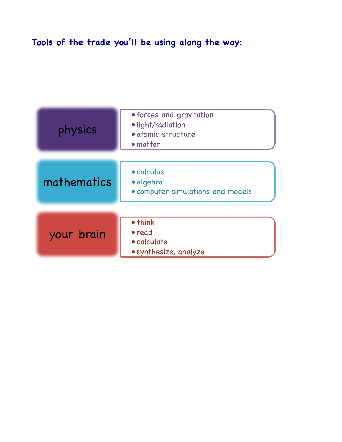# **Tools of the trade you'll be using along the way:**

| physics     | • forces and gravitation<br>·light/radiation<br>· atomic structure<br>• matter |  |
|-------------|--------------------------------------------------------------------------------|--|
| mathematics | • calculus<br>· algebra<br>• computer simulations and models                   |  |
| your brain  | • think<br>• read<br>• calculate<br>• synthesize, analyze                      |  |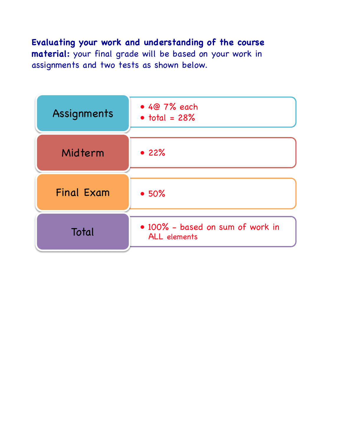**Evaluating your work and understanding of the course material:** your final grade will be based on your work in assignments and two tests as shown below.

| Assignments       | $\bullet$ 4 $@7\%$ each<br>$\bullet$ total = 28%        |  |
|-------------------|---------------------------------------------------------|--|
| Midterm           | • 22%                                                   |  |
| <b>Final Exam</b> | •50%                                                    |  |
| Total             | · 100% - based on sum of work in<br><b>ALL</b> elements |  |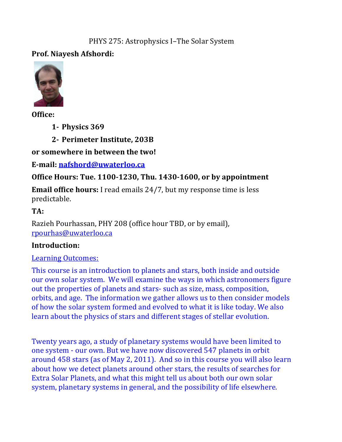#### PHYS 275: Astrophysics I–The Solar System

## **Prof.&Niayesh&Afshordi:**



**Office:&**

**1- Physics 369** 

**2- Perimeter Institute, 203B** 

## or somewhere in between the two!

**E-mail: nafshord@uwaterloo.ca** 

## **Office Hours: Tue. 1100-1230, Thu. 1430-1600, or by appointment**

**Email office hours:** I read emails 24/7, but my response time is less predictable.%

## **TA:&**

Razieh Pourhassan, PHY 208 (office hour TBD, or by email), rpourhas@uwaterloo.ca

## **Introduction:**

#### Learning Outcomes:

This course is an introduction to planets and stars, both inside and outside our own solar system. We will examine the ways in which astronomers figure out the properties of planets and stars- such as size, mass, composition, orbits, and age. The information we gather allows us to then consider models of how the solar system formed and evolved to what it is like today. We also learn about the physics of stars and different stages of stellar evolution.

Twenty years ago, a study of planetary systems would have been limited to one system - our own. But we have now discovered 547 planets in orbit around 458 stars (as of May 2, 2011). And so in this course you will also learn about how we detect planets around other stars, the results of searches for Extra Solar Planets, and what this might tell us about both our own solar system, planetary systems in general, and the possibility of life elsewhere.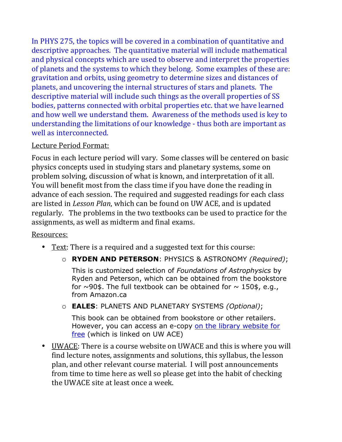In PHYS 275, the topics will be covered in a combination of quantitative and descriptive approaches. The quantitative material will include mathematical and physical concepts which are used to observe and interpret the properties of planets and the systems to which they belong. Some examples of these are: gravitation and orbits, using geometry to determine sizes and distances of planets, and uncovering the internal structures of stars and planets. The descriptive material will include such things as the overall properties of SS bodies, patterns connected with orbital properties etc. that we have learned and how well we understand them. Awareness of the methods used is key to understanding the limitations of our knowledge - thus both are important as well as interconnected.

## Lecture Period Format:

Focus in each lecture period will vary. Some classes will be centered on basic physics concepts used in studying stars and planetary systems, some on problem solving, discussion of what is known, and interpretation of it all. You will benefit most from the class time if you have done the reading in advance of each session. The required and suggested readings for each class are listed in *Lesson Plan*, which can be found on UW ACE, and is updated regularly. The problems in the two textbooks can be used to practice for the assignments, as well as midterm and final exams.

## Resources:

- Text: There is a required and a suggested text for this course:
	- o **RYDEN AND PETERSON**: PHYSICS & ASTRONOMY *(Required)*;

This is customized selection of *Foundations of Astrophysics* by Ryden and Peterson, which can be obtained from the bookstore for  $\sim$ 90\$. The full textbook can be obtained for  $\sim$  150\$, e.g., from Amazon.ca

o **EALES**: PLANETS AND PLANETARY SYSTEMS *(Optional)*;

This book can be obtained from bookstore or other retailers. However, you can access an e-copy on the library website for free (which is linked on UW ACE)

• UWACE: There is a course website on UWACE and this is where you will find lecture notes, assignments and solutions, this syllabus, the lesson plan, and other relevant course material. I will post announcements from time to time here as well so please get into the habit of checking the UWACE site at least once a week.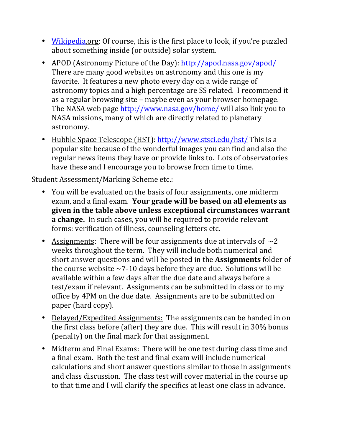- Wikipedia.org: Of course, this is the first place to look, if you're puzzled about something inside (or outside) solar system.
- APOD (Astronomy Picture of the Day): http://apod.nasa.gov/apod/ There are many good websites on astronomy and this one is my favorite. It features a new photo every day on a wide range of astronomy topics and a high percentage are SS related. I recommend it as a regular browsing site – maybe even as your browser homepage. The NASA web page http://www.nasa.gov/home/ will also link you to NASA missions, many of which are directly related to planetary astronomy.
- Hubble Space Telescope (HST): http://www.stsci.edu/hst/ This is a popular site because of the wonderful images you can find and also the regular news items they have or provide links to. Lots of observatories have these and I encourage you to browse from time to time.

#### Student Assessment/Marking Scheme etc.:

- You will be evaluated on the basis of four assignments, one midterm exam, and a final exam. Your grade will be based on all elements as given in the table above unless exceptional circumstances warrant **a change.** In such cases, you will be required to provide relevant forms: verification of illness, counseling letters etc.
- Assignments: There will be four assignments due at intervals of  $\sim$ 2 weeks throughout the term. They will include both numerical and short answer questions and will be posted in the **Assignments** folder of the course website  $~10$  days before they are due. Solutions will be available within a few days after the due date and always before a test/exam if relevant. Assignments can be submitted in class or to my office by 4PM on the due date. Assignments are to be submitted on paper (hard copy).
- Delayed/Expedited Assignments: The assignments can be handed in on the first class before (after) they are due. This will result in  $30\%$  bonus (penalty) on the final mark for that assignment.
- Midterm and Final Exams: There will be one test during class time and a final exam. Both the test and final exam will include numerical calculations and short answer questions similar to those in assignments and class discussion. The class test will cover material in the course up to that time and I will clarify the specifics at least one class in advance.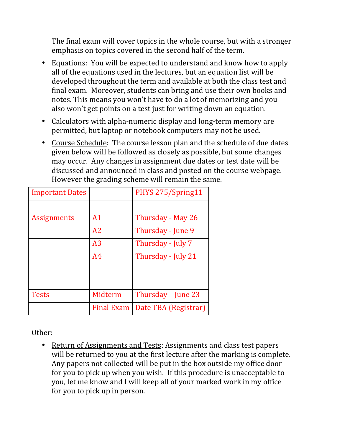The final exam will cover topics in the whole course, but with a stronger emphasis on topics covered in the second half of the term.

- Equations: You will be expected to understand and know how to apply all of the equations used in the lectures, but an equation list will be developed throughout the term and available at both the class test and final exam. Moreover, students can bring and use their own books and notes. This means you won't have to do a lot of memorizing and you also won't get points on a test just for writing down an equation.
- Calculators with alpha-numeric display and long-term memory are permitted, but laptop or notebook computers may not be used.
- Course Schedule: The course lesson plan and the schedule of due dates given below will be followed as closely as possible, but some changes may occur. Any changes in assignment due dates or test date will be discussed and announced in class and posted on the course webpage. However the grading scheme will remain the same.

| <b>Important Dates</b> |                   | PHYS 275/Spring11    |
|------------------------|-------------------|----------------------|
|                        |                   |                      |
| <b>Assignments</b>     | A <sub>1</sub>    | Thursday - May 26    |
|                        | A2                | Thursday - June 9    |
|                        | A <sub>3</sub>    | Thursday - July 7    |
|                        | A <sub>4</sub>    | Thursday - July 21   |
|                        |                   |                      |
|                        |                   |                      |
| <b>Tests</b>           | Midterm           | Thursday – June 23   |
|                        | <b>Final Exam</b> | Date TBA (Registrar) |

#### Other:

• Return of Assignments and Tests: Assignments and class test papers will be returned to you at the first lecture after the marking is complete. Any papers not collected will be put in the box outside my office door for you to pick up when you wish. If this procedure is unacceptable to you, let me know and I will keep all of your marked work in my office for you to pick up in person.